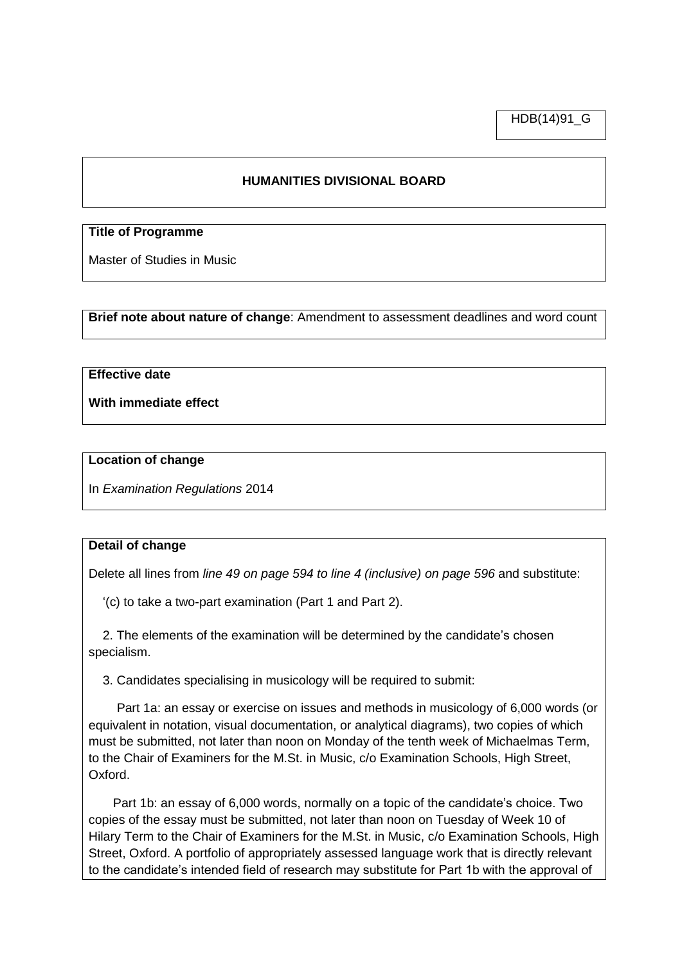HDB(14)91\_G

# **HUMANITIES DIVISIONAL BOARD**

# **Title of Programme**

Master of Studies in Music

**Brief note about nature of change**: Amendment to assessment deadlines and word count

# **Effective date**

**With immediate effect**

#### **Location of change**

In *Examination Regulations* 2014

## **Detail of change**

Delete all lines from *line 49 on page 594 to line 4 (inclusive) on page 596* and substitute:

'(c) to take a two-part examination (Part 1 and Part 2).

 2. The elements of the examination will be determined by the candidate's chosen specialism.

3. Candidates specialising in musicology will be required to submit:

 Part 1a: an essay or exercise on issues and methods in musicology of 6,000 words (or equivalent in notation, visual documentation, or analytical diagrams), two copies of which must be submitted, not later than noon on Monday of the tenth week of Michaelmas Term, to the Chair of Examiners for the M.St. in Music, c/o Examination Schools, High Street, Oxford.

Part 1b: an essay of 6,000 words, normally on a topic of the candidate's choice. Two copies of the essay must be submitted, not later than noon on Tuesday of Week 10 of Hilary Term to the Chair of Examiners for the M.St. in Music, c/o Examination Schools, High Street, Oxford. A portfolio of appropriately assessed language work that is directly relevant to the candidate's intended field of research may substitute for Part 1b with the approval of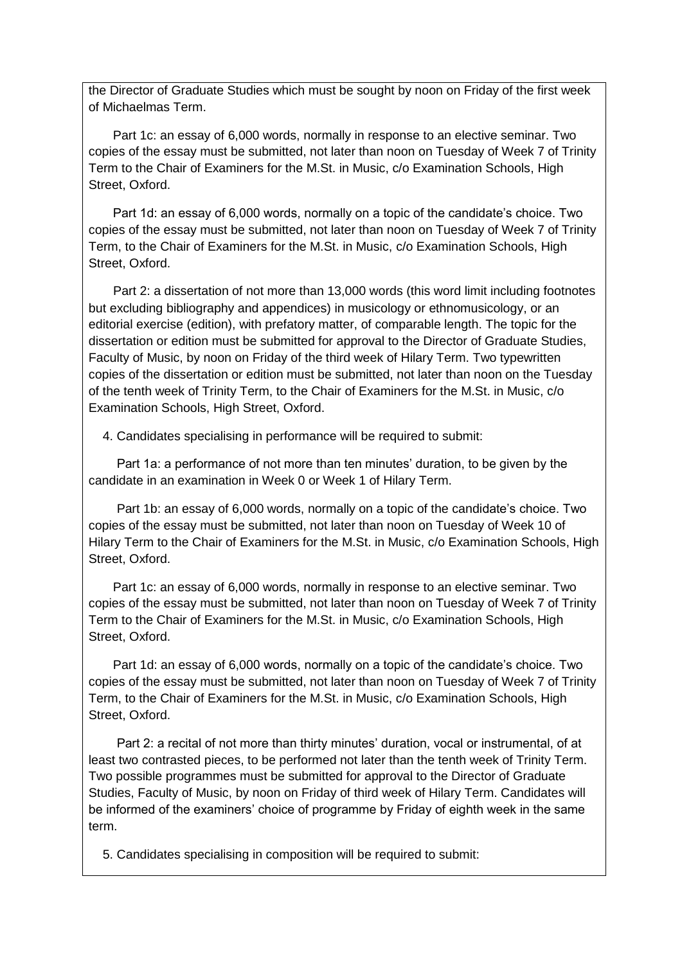the Director of Graduate Studies which must be sought by noon on Friday of the first week of Michaelmas Term.

Part 1c: an essay of 6,000 words, normally in response to an elective seminar. Two copies of the essay must be submitted, not later than noon on Tuesday of Week 7 of Trinity Term to the Chair of Examiners for the M.St. in Music, c/o Examination Schools, High Street, Oxford.

Part 1d: an essay of 6,000 words, normally on a topic of the candidate's choice. Two copies of the essay must be submitted, not later than noon on Tuesday of Week 7 of Trinity Term, to the Chair of Examiners for the M.St. in Music, c/o Examination Schools, High Street, Oxford.

 Part 2: a dissertation of not more than 13,000 words (this word limit including footnotes but excluding bibliography and appendices) in musicology or ethnomusicology, or an editorial exercise (edition), with prefatory matter, of comparable length. The topic for the dissertation or edition must be submitted for approval to the Director of Graduate Studies, Faculty of Music, by noon on Friday of the third week of Hilary Term. Two typewritten copies of the dissertation or edition must be submitted, not later than noon on the Tuesday of the tenth week of Trinity Term, to the Chair of Examiners for the M.St. in Music, c/o Examination Schools, High Street, Oxford.

4. Candidates specialising in performance will be required to submit:

 Part 1a: a performance of not more than ten minutes' duration, to be given by the candidate in an examination in Week 0 or Week 1 of Hilary Term.

 Part 1b: an essay of 6,000 words, normally on a topic of the candidate's choice. Two copies of the essay must be submitted, not later than noon on Tuesday of Week 10 of Hilary Term to the Chair of Examiners for the M.St. in Music, c/o Examination Schools, High Street, Oxford.

Part 1c: an essay of 6,000 words, normally in response to an elective seminar. Two copies of the essay must be submitted, not later than noon on Tuesday of Week 7 of Trinity Term to the Chair of Examiners for the M.St. in Music, c/o Examination Schools, High Street, Oxford.

Part 1d: an essay of 6,000 words, normally on a topic of the candidate's choice. Two copies of the essay must be submitted, not later than noon on Tuesday of Week 7 of Trinity Term, to the Chair of Examiners for the M.St. in Music, c/o Examination Schools, High Street, Oxford.

 Part 2: a recital of not more than thirty minutes' duration, vocal or instrumental, of at least two contrasted pieces, to be performed not later than the tenth week of Trinity Term. Two possible programmes must be submitted for approval to the Director of Graduate Studies, Faculty of Music, by noon on Friday of third week of Hilary Term. Candidates will be informed of the examiners' choice of programme by Friday of eighth week in the same term.

5. Candidates specialising in composition will be required to submit: